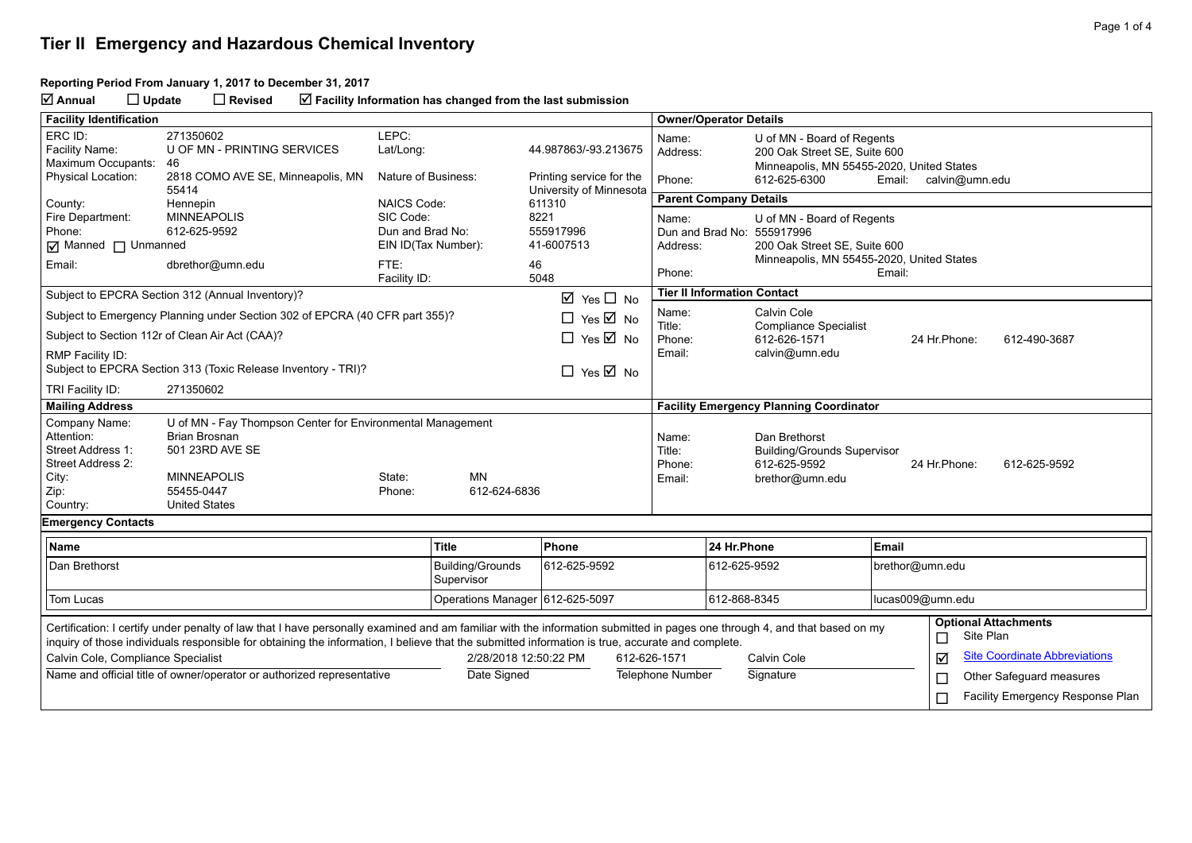#### **Reporting Period From January 1, 2017 to December 31, 2017**

**Annual Update Revised Facility Information has changed from the last submission**

| <b>Facility Identification</b>                                                                                                                                                                                                                                                                                                |                                                                             |                                 |                                       |                                      |                                           | <b>Owner/Operator Details</b>                                                   |                                                    |                              |                                          |  |  |
|-------------------------------------------------------------------------------------------------------------------------------------------------------------------------------------------------------------------------------------------------------------------------------------------------------------------------------|-----------------------------------------------------------------------------|---------------------------------|---------------------------------------|--------------------------------------|-------------------------------------------|---------------------------------------------------------------------------------|----------------------------------------------------|------------------------------|------------------------------------------|--|--|
| ERC ID:                                                                                                                                                                                                                                                                                                                       | 271350602                                                                   | LEPC:                           |                                       |                                      |                                           |                                                                                 |                                                    |                              |                                          |  |  |
| Facility Name:                                                                                                                                                                                                                                                                                                                | U OF MN - PRINTING SERVICES                                                 | Lat/Long:                       |                                       | 44.987863/-93.213675                 |                                           | U of MN - Board of Regents<br>Name:<br>Address:<br>200 Oak Street SE, Suite 600 |                                                    |                              |                                          |  |  |
| Maximum Occupants:                                                                                                                                                                                                                                                                                                            | 46                                                                          |                                 |                                       |                                      |                                           |                                                                                 | Minneapolis, MN 55455-2020, United States          |                              |                                          |  |  |
| <b>Physical Location:</b>                                                                                                                                                                                                                                                                                                     | 2818 COMO AVE SE, Minneapolis, MN                                           | Nature of Business:             |                                       | Printing service for the             |                                           | Phone:                                                                          | 612-625-6300                                       | Email:                       | calvin@umn.edu                           |  |  |
| County:                                                                                                                                                                                                                                                                                                                       | 55414<br>Hennepin                                                           | <b>NAICS Code:</b>              |                                       | University of Minnesota<br>611310    |                                           | <b>Parent Company Details</b>                                                   |                                                    |                              |                                          |  |  |
| Fire Department:                                                                                                                                                                                                                                                                                                              | <b>MINNEAPOLIS</b>                                                          | SIC Code:                       |                                       | 8221                                 |                                           | Name:                                                                           | U of MN - Board of Regents                         |                              |                                          |  |  |
| Phone:                                                                                                                                                                                                                                                                                                                        | 612-625-9592                                                                | Dun and Brad No:                |                                       | 555917996                            |                                           | Dun and Brad No: 555917996                                                      |                                                    |                              |                                          |  |  |
| ☑ Manned □ Unmanned                                                                                                                                                                                                                                                                                                           |                                                                             | EIN ID(Tax Number):             | 41-6007513                            |                                      | Address:                                  |                                                                                 | 200 Oak Street SE, Suite 600                       |                              |                                          |  |  |
| FTE:<br>Email:<br>dbrethor@umn.edu                                                                                                                                                                                                                                                                                            |                                                                             | 46                              |                                       |                                      | Minneapolis, MN 55455-2020, United States |                                                                                 |                                                    |                              |                                          |  |  |
|                                                                                                                                                                                                                                                                                                                               |                                                                             | Facility ID:                    |                                       | 5048                                 |                                           | Phone:                                                                          |                                                    | Email:                       |                                          |  |  |
|                                                                                                                                                                                                                                                                                                                               | Subject to EPCRA Section 312 (Annual Inventory)?                            |                                 |                                       | $\boxtimes$ Yes $\Box$ No            |                                           | <b>Tier II Information Contact</b>                                              |                                                    |                              |                                          |  |  |
|                                                                                                                                                                                                                                                                                                                               | Subject to Emergency Planning under Section 302 of EPCRA (40 CFR part 355)? |                                 | $\Box$ Yes $\overline{\boxtimes}$ No  |                                      |                                           | Calvin Cole<br>Name:                                                            |                                                    |                              |                                          |  |  |
|                                                                                                                                                                                                                                                                                                                               | Subject to Section 112r of Clean Air Act (CAA)?                             |                                 |                                       | $\Box$ Yes $\overline{\boxtimes}$ No |                                           | Title:<br><b>Compliance Specialist</b><br>Phone:<br>612-626-1571                |                                                    | 24 Hr.Phone:<br>612-490-3687 |                                          |  |  |
| RMP Facility ID:                                                                                                                                                                                                                                                                                                              |                                                                             |                                 |                                       |                                      | Email:                                    |                                                                                 | calvin@umn.edu                                     |                              |                                          |  |  |
|                                                                                                                                                                                                                                                                                                                               | Subject to EPCRA Section 313 (Toxic Release Inventory - TRI)?               |                                 |                                       | $\Box$ Yes $\overline{\boxtimes}$ No |                                           |                                                                                 |                                                    |                              |                                          |  |  |
| TRI Facility ID:                                                                                                                                                                                                                                                                                                              | 271350602                                                                   |                                 |                                       |                                      |                                           |                                                                                 |                                                    |                              |                                          |  |  |
| <b>Mailing Address</b>                                                                                                                                                                                                                                                                                                        |                                                                             |                                 |                                       |                                      |                                           | <b>Facility Emergency Planning Coordinator</b>                                  |                                                    |                              |                                          |  |  |
| Company Name:                                                                                                                                                                                                                                                                                                                 | U of MN - Fay Thompson Center for Environmental Management                  |                                 |                                       |                                      |                                           |                                                                                 |                                                    |                              |                                          |  |  |
| Attention:                                                                                                                                                                                                                                                                                                                    | <b>Brian Brosnan</b>                                                        |                                 |                                       |                                      |                                           | Name:                                                                           | Dan Brethorst                                      |                              |                                          |  |  |
| Street Address 1:<br>Street Address 2:                                                                                                                                                                                                                                                                                        | 501 23RD AVE SE                                                             |                                 |                                       |                                      |                                           | Title:<br>Phone:                                                                | <b>Building/Grounds Supervisor</b><br>612-625-9592 | 24 Hr.Phone:                 | 612-625-9592                             |  |  |
| City:                                                                                                                                                                                                                                                                                                                         | <b>MINNEAPOLIS</b>                                                          | State:                          | <b>MN</b>                             |                                      |                                           | Email:                                                                          | brethor@umn.edu                                    |                              |                                          |  |  |
| Zip:                                                                                                                                                                                                                                                                                                                          | 55455-0447                                                                  | Phone:                          | 612-624-6836                          |                                      |                                           |                                                                                 |                                                    |                              |                                          |  |  |
| Country:                                                                                                                                                                                                                                                                                                                      | <b>United States</b>                                                        |                                 |                                       |                                      |                                           |                                                                                 |                                                    |                              |                                          |  |  |
| <b>Emergency Contacts</b>                                                                                                                                                                                                                                                                                                     |                                                                             |                                 |                                       |                                      |                                           |                                                                                 |                                                    |                              |                                          |  |  |
| Name                                                                                                                                                                                                                                                                                                                          |                                                                             |                                 | <b>Title</b>                          | Phone                                |                                           | 24 Hr.Phone                                                                     |                                                    | Email                        |                                          |  |  |
| Dan Brethorst                                                                                                                                                                                                                                                                                                                 |                                                                             |                                 | <b>Building/Grounds</b><br>Supervisor | 612-625-9592                         |                                           | 612-625-9592                                                                    |                                                    | brethor@umn.edu              |                                          |  |  |
| Tom Lucas                                                                                                                                                                                                                                                                                                                     |                                                                             | Operations Manager 612-625-5097 |                                       |                                      | 612-868-8345                              |                                                                                 | lucas009@umn.edu                                   |                              |                                          |  |  |
| Certification: I certify under penalty of law that I have personally examined and am familiar with the information submitted in pages one through 4, and that based on my<br>inquiry of those individuals responsible for obtaining the information, I believe that the submitted information is true, accurate and complete. |                                                                             |                                 |                                       |                                      |                                           |                                                                                 |                                                    | □                            | <b>Optional Attachments</b><br>Site Plan |  |  |
| Calvin Cole, Compliance Specialist                                                                                                                                                                                                                                                                                            |                                                                             |                                 | 2/28/2018 12:50:22 PM                 |                                      |                                           | Calvin Cole<br>612-626-1571                                                     |                                                    | ☑                            | <b>Site Coordinate Abbreviations</b>     |  |  |
| Name and official title of owner/operator or authorized representative                                                                                                                                                                                                                                                        |                                                                             |                                 | Date Signed                           |                                      | <b>Telephone Number</b><br>Signature      |                                                                                 | $\Box$                                             | Other Safeguard measures     |                                          |  |  |
|                                                                                                                                                                                                                                                                                                                               |                                                                             |                                 |                                       |                                      |                                           |                                                                                 |                                                    | П                            | Facility Emergency Response Plan         |  |  |
|                                                                                                                                                                                                                                                                                                                               |                                                                             |                                 |                                       |                                      |                                           |                                                                                 |                                                    |                              |                                          |  |  |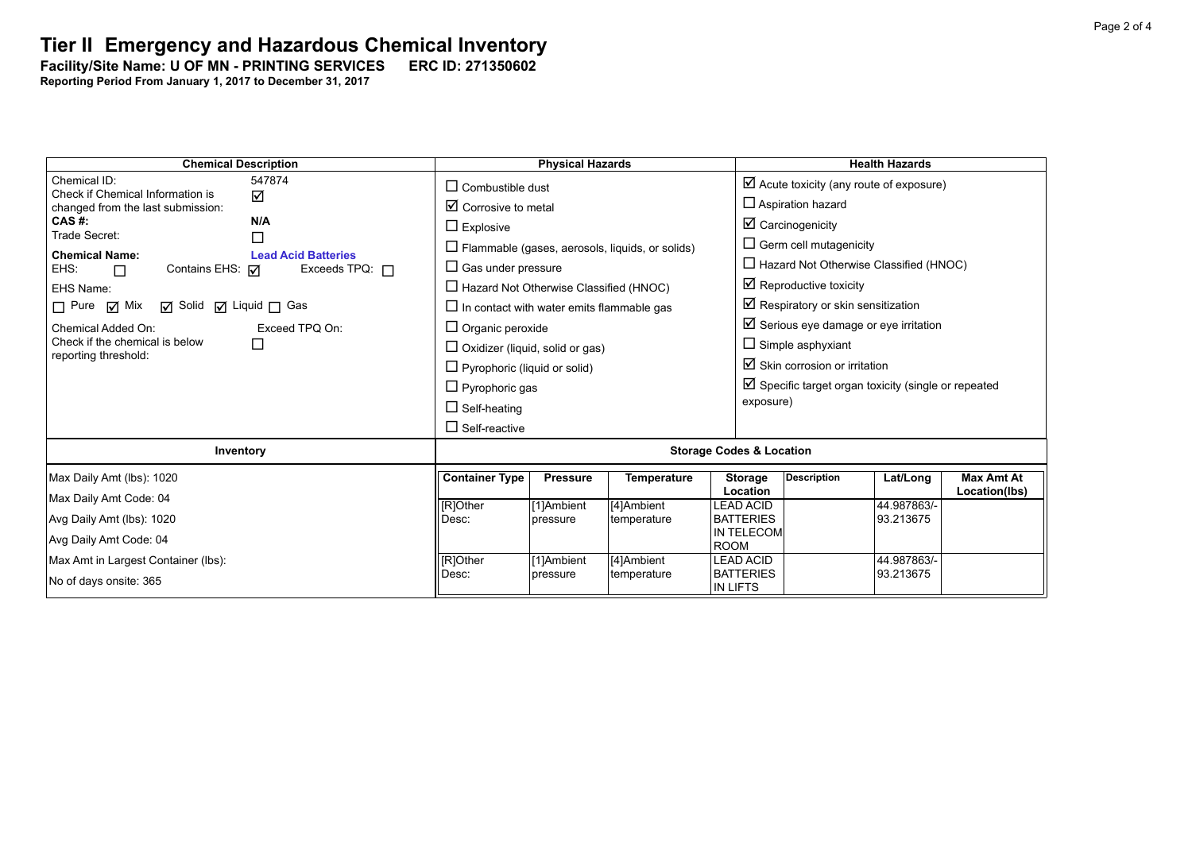Facility/Site Name: U OF MN - PRINTING SERVICES ERC ID: 271350602

**Reporting Period From January 1, 2017 to December 31, 2017**

| <b>Chemical Description</b>                                     | <b>Physical Hazards</b>                          |                                        |                                                        |                               | <b>Health Hazards</b>                                          |                          |                   |  |  |
|-----------------------------------------------------------------|--------------------------------------------------|----------------------------------------|--------------------------------------------------------|-------------------------------|----------------------------------------------------------------|--------------------------|-------------------|--|--|
| Chemical ID:<br>547874<br>Check if Chemical Information is      | $\Box$ Combustible dust                          |                                        |                                                        |                               | $\boxtimes$ Acute toxicity (any route of exposure)             |                          |                   |  |  |
| ☑<br>changed from the last submission:                          | $\boxtimes$ Corrosive to metal                   |                                        |                                                        |                               | $\Box$ Aspiration hazard                                       |                          |                   |  |  |
| N/A<br>CAS #:<br>Trade Secret:                                  | $\Box$ Explosive                                 |                                        |                                                        |                               | $\boxtimes$ Carcinogenicity                                    |                          |                   |  |  |
| □<br><b>Chemical Name:</b><br><b>Lead Acid Batteries</b>        |                                                  |                                        | $\Box$ Flammable (gases, aerosols, liquids, or solids) |                               | $\Box$ Germ cell mutagenicity                                  |                          |                   |  |  |
| Contains EHS: $\nabla$<br>EHS:<br>Exceeds TPQ: $\Box$<br>$\Box$ | $\Box$ Gas under pressure                        |                                        |                                                        |                               | $\Box$ Hazard Not Otherwise Classified (HNOC)                  |                          |                   |  |  |
| EHS Name:                                                       | $\Box$ Hazard Not Otherwise Classified (HNOC)    |                                        |                                                        |                               | $\boxtimes$ Reproductive toxicity                              |                          |                   |  |  |
| $\Box$ Pure $\Box$ Mix<br><b>Ø</b> Solid Ø Liquid □ Gas         | $\Box$ In contact with water emits flammable gas |                                        |                                                        |                               | $\boxtimes$ Respiratory or skin sensitization                  |                          |                   |  |  |
| Chemical Added On:<br>Exceed TPQ On:                            | $\Box$ Organic peroxide                          |                                        |                                                        |                               | $\boxtimes$ Serious eye damage or eye irritation               |                          |                   |  |  |
| Check if the chemical is below<br>□<br>reporting threshold:     |                                                  | $\Box$ Oxidizer (liquid, solid or gas) |                                                        |                               |                                                                | $\Box$ Simple asphyxiant |                   |  |  |
|                                                                 | $\Box$ Pyrophoric (liquid or solid)              |                                        |                                                        |                               | $\boxtimes$ Skin corrosion or irritation                       |                          |                   |  |  |
|                                                                 | $\Box$ Pyrophoric gas                            |                                        |                                                        |                               | $\boxtimes$ Specific target organ toxicity (single or repeated |                          |                   |  |  |
|                                                                 | $\Box$ Self-heating                              |                                        |                                                        |                               | exposure)                                                      |                          |                   |  |  |
|                                                                 | $\Box$ Self-reactive                             |                                        |                                                        |                               |                                                                |                          |                   |  |  |
| Inventory                                                       | <b>Storage Codes &amp; Location</b>              |                                        |                                                        |                               |                                                                |                          |                   |  |  |
| Max Daily Amt (lbs): 1020                                       | <b>Container Type</b>                            | <b>Pressure</b>                        | <b>Temperature</b>                                     | <b>Storage</b>                | <b>Description</b>                                             | Lat/Long                 | <b>Max Amt At</b> |  |  |
| Max Daily Amt Code: 04                                          |                                                  |                                        |                                                        | <b>Location</b>               |                                                                | 44.987863/-              | Location(lbs)     |  |  |
| Avg Daily Amt (lbs): 1020                                       | [R]Other<br>Desc:                                | [1]Ambient<br>pressure                 | [4]Ambient<br>temperature                              | LEAD ACID<br><b>BATTERIES</b> |                                                                | 93.213675                |                   |  |  |
| Avg Daily Amt Code: 04                                          |                                                  |                                        |                                                        | IN TELECOM                    |                                                                |                          |                   |  |  |
| Max Amt in Largest Container (lbs):                             | [R]Other                                         | [1]Ambient                             | [4]Ambient                                             | <b>ROOM</b><br>LEAD ACID      |                                                                | 44.987863/-              |                   |  |  |
|                                                                 | Desc:                                            | pressure                               | temperature                                            | <b>BATTERIES</b>              |                                                                | 93.213675                |                   |  |  |
| No of days onsite: 365                                          |                                                  |                                        |                                                        | IN LIFTS                      |                                                                |                          |                   |  |  |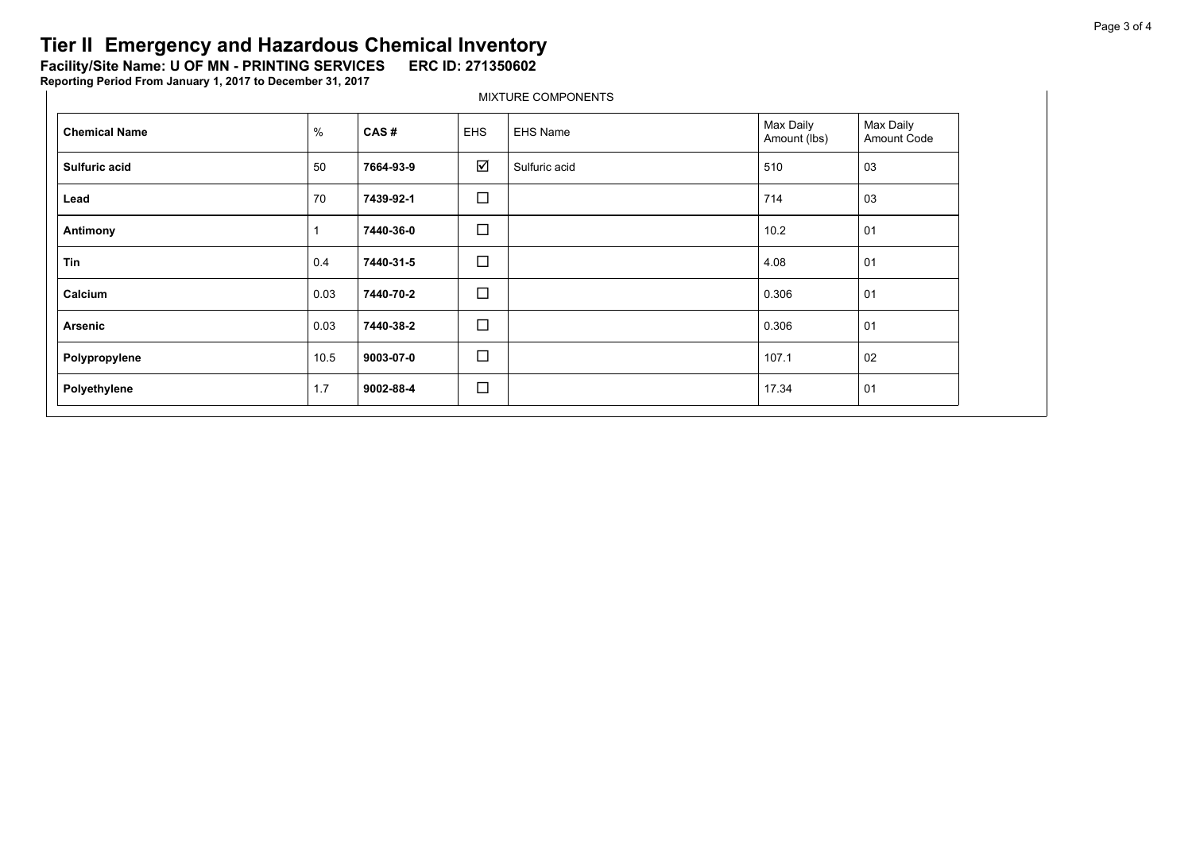Facility/Site Name: U OF MN - PRINTING SERVICES ERC ID: 271350602

**Reporting Period From January 1, 2017 to December 31, 2017**

| <b>Chemical Name</b> | %    | CAS#      | <b>EHS</b> | <b>EHS Name</b> | Max Daily<br>Amount (lbs) | Max Daily<br>Amount Code |
|----------------------|------|-----------|------------|-----------------|---------------------------|--------------------------|
| Sulfuric acid        | 50   | 7664-93-9 | ☑          | Sulfuric acid   | 510                       | 03                       |
| Lead                 | 70   | 7439-92-1 | $\Box$     |                 | 714                       | 03                       |
| Antimony             |      | 7440-36-0 | $\Box$     |                 | 10.2                      | 01                       |
| Tin                  | 0.4  | 7440-31-5 | $\Box$     |                 | 4.08                      | 01                       |
| Calcium              | 0.03 | 7440-70-2 | $\Box$     |                 | 0.306                     | 01                       |
| <b>Arsenic</b>       | 0.03 | 7440-38-2 | $\Box$     |                 | 0.306                     | 01                       |
| Polypropylene        | 10.5 | 9003-07-0 | $\Box$     |                 | 107.1                     | 02                       |
| Polyethylene         | 1.7  | 9002-88-4 | $\Box$     |                 | 17.34                     | 01                       |

MIXTURE COMPONENTS